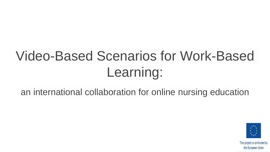# Video-Based Scenarios for Work-Based Learning:

an international collaboration for online nursing education

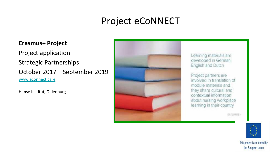#### Project eCoNNECT

#### **Erasmus+ Project**

Project application

Strategic Partnerships

October 2017 – September 2019 [www.econnect.care](http://www.econnect.care/)

Hanse Institut, Oldenburg



Learning materials are developed in German. English and Dutch

Project partners are involved in translation of module materials and they share cultural and contextual information about nursing workplace learning in their country

ERASMUS -

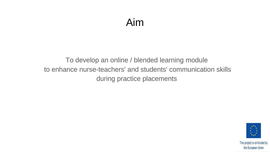#### Aim

#### To develop an online / blended learning module to enhance nurse-teachers' and students' communication skills during practice placements

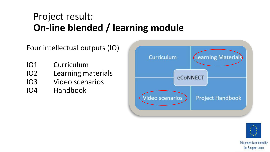### Project result: **On-line blended / learning module**

Four intellectual outputs (IO)

- IO1 Curriculum
- IO2 Learning materials
- IO3 Video scenarios
- IO4 Handbook



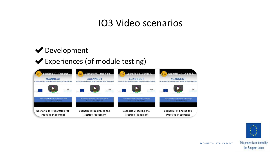#### IO3 Video scenarios

#### ◆ Development

#### ✔Experiences (of module testing)





the European Union

ECONNECT MULTIPLIER EVENT  $1$ <sup>-0</sup>This project is co-funded by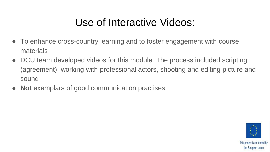### Use of Interactive Videos:

- To enhance cross-country learning and to foster engagement with course materials
- DCU team developed videos for this module. The process included scripting (agreement), working with professional actors, shooting and editing picture and sound
- **Not** exemplars of good communication practises

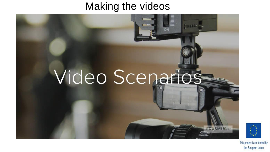### Making the videos

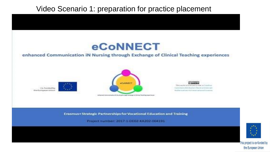#### Video Scenario 1: preparation for practice placement



#### enhanced Communication iN Nursing through Exchange of Clinical Teaching experiences

Ca-funded by the European Union





ments through the paper of Livea Thinking room must minerine & Amer



Erasmus+ Strategic Partnerships for Vocational Education and Training

Project number: 2017-1-DE02-KA202-004191-

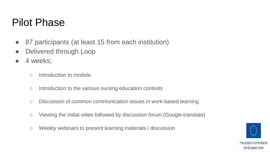### Pilot Phase

- 87 participants (at least 15 from each institution)
- Delivered through Loop
- 4 weeks;
	- Introduction to module
	- Introduction to the various nursing education contexts
	- Discussion of common communication issues in work-based learning
	- Viewing the initial video followed by discussion forum (Google translate)
	- Weekly webinars to present learning materials / discussion

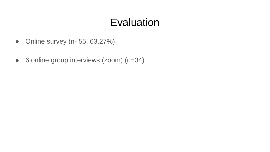### **Evaluation**

- Online survey (n- 55, 63.27%)
- 6 online group interviews (zoom) (n=34)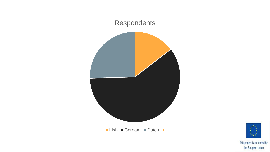

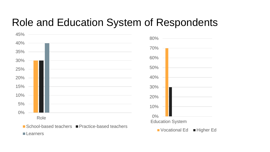### Role and Education System of Respondents



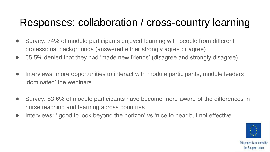## Responses: collaboration / cross-country learning

- Survey: 74% of module participants enjoyed learning with people from different professional backgrounds (answered either strongly agree or agree)
- 65.5% denied that they had 'made new friends' (disagree and strongly disagree)
- Interviews: more opportunities to interact with module participants, module leaders 'dominated' the webinars
- Survey: 83.6% of module participants have become more aware of the differences in nurse teaching and learning across countries
- Interviews: ' good to look beyond the horizon' vs 'nice to hear but not effective'

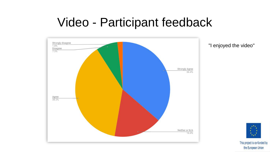# Video - Participant feedback



"I enjoyed the video"

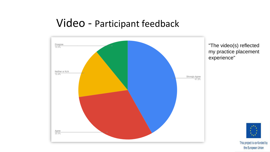#### Video - Participant feedback



"The video(s) reflected my practice placement experience"

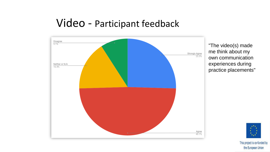#### Video - Participant feedback



"The video(s) made me think about my own communication experiences during practice placements"